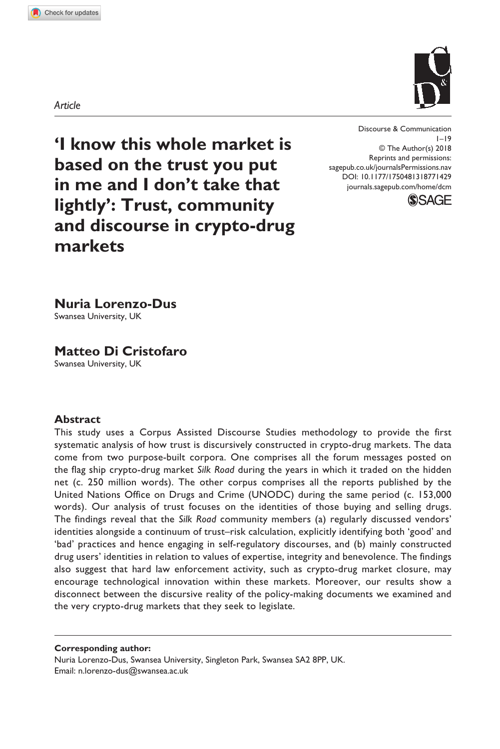*Article*

**7714[29](http://crossmark.crossref.org/dialog/?doi=10.1177%2F1750481318771429&domain=pdf&date_stamp=2018-05-09)** DCM0010.1177/1750481318771429Discourse & Communication**Lorenzo-Dus and Di Cristofaro**

**'I know this whole market is based on the trust you put in me and I don't take that lightly': Trust, community and discourse in crypto-drug markets**

https://doi.org/10.1177/1750481318771429 DOI: 10.1177/1750481318771429 Discourse & Communication 1–19 © The Author(s) 2018 Reprints and permissions: [sagepub.co.uk/journalsPermissions.nav](https://uk.sagepub.com/en-gb/journals-permissions) [journals.sagepub.com/home/dcm](https://journals.sagepub.com/home/dcm
)



**Nuria Lorenzo-Dus**

Swansea University, UK

**Matteo Di Cristofaro**

Swansea University, UK

### **Abstract**

This study uses a Corpus Assisted Discourse Studies methodology to provide the first systematic analysis of how trust is discursively constructed in crypto-drug markets. The data come from two purpose-built corpora. One comprises all the forum messages posted on the flag ship crypto-drug market *Silk Road* during the years in which it traded on the hidden net (c. 250 million words). The other corpus comprises all the reports published by the United Nations Office on Drugs and Crime (UNODC) during the same period (c. 153,000 words). Our analysis of trust focuses on the identities of those buying and selling drugs. The findings reveal that the *Silk Road* community members (a) regularly discussed vendors' identities alongside a continuum of trust–risk calculation, explicitly identifying both 'good' and 'bad' practices and hence engaging in self-regulatory discourses, and (b) mainly constructed drug users' identities in relation to values of expertise, integrity and benevolence. The findings also suggest that hard law enforcement activity, such as crypto-drug market closure, may encourage technological innovation within these markets. Moreover, our results show a disconnect between the discursive reality of the policy-making documents we examined and the very crypto-drug markets that they seek to legislate.

**Corresponding author:**

Nuria Lorenzo-Dus, Swansea University, Singleton Park, Swansea SA2 8PP, UK. Email: [n.lorenzo-dus@swansea.ac.uk](mailto:n.lorenzo-dus@swansea.ac.uk)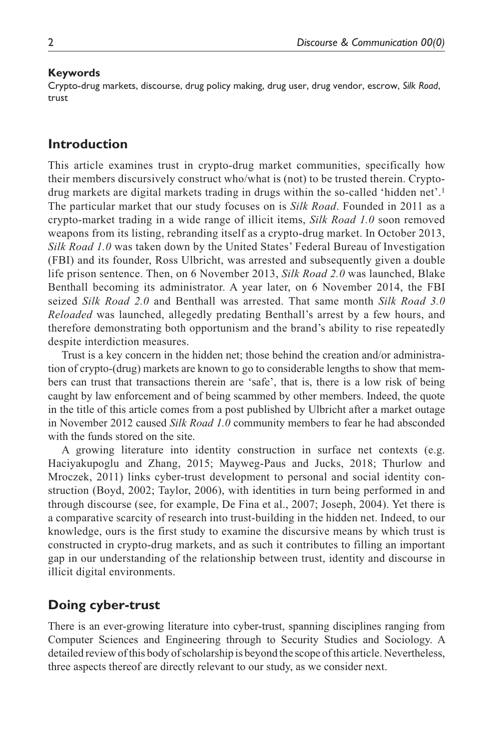#### **Keywords**

Crypto-drug markets, discourse, drug policy making, drug user, drug vendor, escrow, *Silk Road*, trust

## **Introduction**

This article examines trust in crypto-drug market communities, specifically how their members discursively construct who/what is (not) to be trusted therein. Cryptodrug markets are digital markets trading in drugs within the so-called 'hidden net'.1 The particular market that our study focuses on is *Silk Road*. Founded in 2011 as a crypto-market trading in a wide range of illicit items, *Silk Road 1.0* soon removed weapons from its listing, rebranding itself as a crypto-drug market. In October 2013, *Silk Road 1.0* was taken down by the United States' Federal Bureau of Investigation (FBI) and its founder, Ross Ulbricht, was arrested and subsequently given a double life prison sentence. Then, on 6 November 2013, *Silk Road 2.0* was launched, Blake Benthall becoming its administrator. A year later, on 6 November 2014, the FBI seized *Silk Road 2.0* and Benthall was arrested. That same month *Silk Road 3.0 Reloaded* was launched, allegedly predating Benthall's arrest by a few hours, and therefore demonstrating both opportunism and the brand's ability to rise repeatedly despite interdiction measures.

Trust is a key concern in the hidden net; those behind the creation and/or administration of crypto-(drug) markets are known to go to considerable lengths to show that members can trust that transactions therein are 'safe', that is, there is a low risk of being caught by law enforcement and of being scammed by other members. Indeed, the quote in the title of this article comes from a post published by Ulbricht after a market outage in November 2012 caused *Silk Road 1.0* community members to fear he had absconded with the funds stored on the site.

A growing literature into identity construction in surface net contexts (e.g. Haciyakupoglu and Zhang, 2015; Mayweg-Paus and Jucks, 2018; Thurlow and Mroczek, 2011) links cyber-trust development to personal and social identity construction (Boyd, 2002; Taylor, 2006), with identities in turn being performed in and through discourse (see, for example, De Fina et al., 2007; Joseph, 2004). Yet there is a comparative scarcity of research into trust-building in the hidden net. Indeed, to our knowledge, ours is the first study to examine the discursive means by which trust is constructed in crypto-drug markets, and as such it contributes to filling an important gap in our understanding of the relationship between trust, identity and discourse in illicit digital environments.

## **Doing cyber-trust**

There is an ever-growing literature into cyber-trust, spanning disciplines ranging from Computer Sciences and Engineering through to Security Studies and Sociology. A detailed review of this body of scholarship is beyond the scope of this article. Nevertheless, three aspects thereof are directly relevant to our study, as we consider next.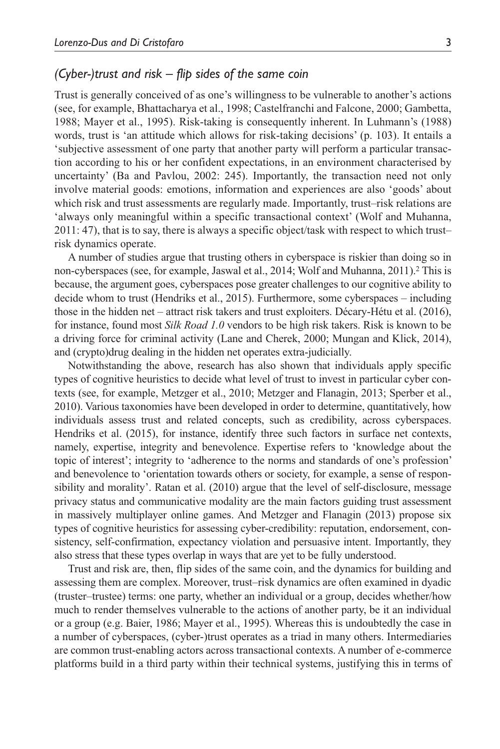### *(Cyber-)trust and risk – flip sides of the same coin*

Trust is generally conceived of as one's willingness to be vulnerable to another's actions (see, for example, Bhattacharya et al., 1998; Castelfranchi and Falcone, 2000; Gambetta, 1988; Mayer et al., 1995). Risk-taking is consequently inherent. In Luhmann's (1988) words, trust is 'an attitude which allows for risk-taking decisions' (p. 103). It entails a 'subjective assessment of one party that another party will perform a particular transaction according to his or her confident expectations, in an environment characterised by uncertainty' (Ba and Pavlou, 2002: 245). Importantly, the transaction need not only involve material goods: emotions, information and experiences are also 'goods' about which risk and trust assessments are regularly made. Importantly, trust–risk relations are 'always only meaningful within a specific transactional context' (Wolf and Muhanna, 2011: 47), that is to say, there is always a specific object/task with respect to which trust– risk dynamics operate.

A number of studies argue that trusting others in cyberspace is riskier than doing so in non-cyberspaces (see, for example, Jaswal et al., 2014; Wolf and Muhanna, 2011).2 This is because, the argument goes, cyberspaces pose greater challenges to our cognitive ability to decide whom to trust (Hendriks et al., 2015). Furthermore, some cyberspaces – including those in the hidden net – attract risk takers and trust exploiters. Décary-Hétu et al. (2016), for instance, found most *Silk Road 1.0* vendors to be high risk takers. Risk is known to be a driving force for criminal activity (Lane and Cherek, 2000; Mungan and Klick, 2014), and (crypto)drug dealing in the hidden net operates extra-judicially.

Notwithstanding the above, research has also shown that individuals apply specific types of cognitive heuristics to decide what level of trust to invest in particular cyber contexts (see, for example, Metzger et al., 2010; Metzger and Flanagin, 2013; Sperber et al., 2010). Various taxonomies have been developed in order to determine, quantitatively, how individuals assess trust and related concepts, such as credibility, across cyberspaces. Hendriks et al. (2015), for instance, identify three such factors in surface net contexts, namely, expertise, integrity and benevolence. Expertise refers to 'knowledge about the topic of interest'; integrity to 'adherence to the norms and standards of one's profession' and benevolence to 'orientation towards others or society, for example, a sense of responsibility and morality'. Ratan et al. (2010) argue that the level of self-disclosure, message privacy status and communicative modality are the main factors guiding trust assessment in massively multiplayer online games. And Metzger and Flanagin (2013) propose six types of cognitive heuristics for assessing cyber-credibility: reputation, endorsement, consistency, self-confirmation, expectancy violation and persuasive intent. Importantly, they also stress that these types overlap in ways that are yet to be fully understood.

Trust and risk are, then, flip sides of the same coin, and the dynamics for building and assessing them are complex. Moreover, trust–risk dynamics are often examined in dyadic (truster–trustee) terms: one party, whether an individual or a group, decides whether/how much to render themselves vulnerable to the actions of another party, be it an individual or a group (e.g. Baier, 1986; Mayer et al., 1995). Whereas this is undoubtedly the case in a number of cyberspaces, (cyber-)trust operates as a triad in many others. Intermediaries are common trust-enabling actors across transactional contexts. A number of e-commerce platforms build in a third party within their technical systems, justifying this in terms of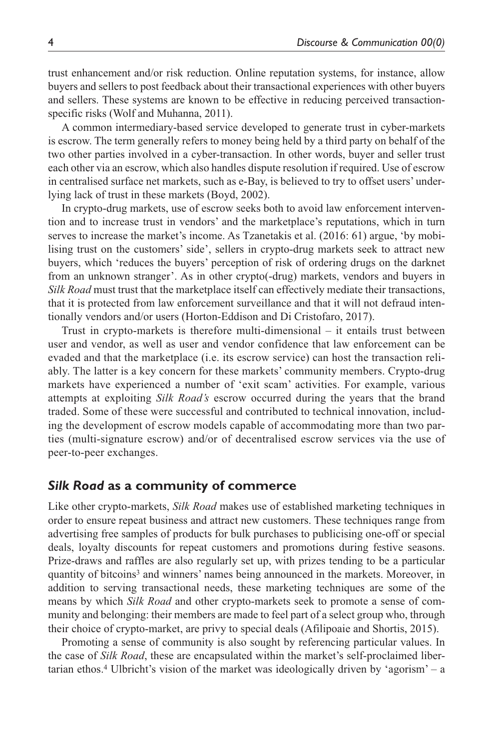trust enhancement and/or risk reduction. Online reputation systems, for instance, allow buyers and sellers to post feedback about their transactional experiences with other buyers and sellers. These systems are known to be effective in reducing perceived transactionspecific risks (Wolf and Muhanna, 2011).

A common intermediary-based service developed to generate trust in cyber-markets is escrow. The term generally refers to money being held by a third party on behalf of the two other parties involved in a cyber-transaction. In other words, buyer and seller trust each other via an escrow, which also handles dispute resolution if required. Use of escrow in centralised surface net markets, such as e-Bay, is believed to try to offset users' underlying lack of trust in these markets (Boyd, 2002).

In crypto-drug markets, use of escrow seeks both to avoid law enforcement intervention and to increase trust in vendors' and the marketplace's reputations, which in turn serves to increase the market's income. As Tzanetakis et al. (2016: 61) argue, 'by mobilising trust on the customers' side', sellers in crypto-drug markets seek to attract new buyers, which 'reduces the buyers' perception of risk of ordering drugs on the darknet from an unknown stranger'. As in other crypto(-drug) markets, vendors and buyers in *Silk Road* must trust that the marketplace itself can effectively mediate their transactions, that it is protected from law enforcement surveillance and that it will not defraud intentionally vendors and/or users (Horton-Eddison and Di Cristofaro, 2017).

Trust in crypto-markets is therefore multi-dimensional – it entails trust between user and vendor, as well as user and vendor confidence that law enforcement can be evaded and that the marketplace (i.e. its escrow service) can host the transaction reliably. The latter is a key concern for these markets' community members. Crypto-drug markets have experienced a number of 'exit scam' activities. For example, various attempts at exploiting *Silk Road's* escrow occurred during the years that the brand traded. Some of these were successful and contributed to technical innovation, including the development of escrow models capable of accommodating more than two parties (multi-signature escrow) and/or of decentralised escrow services via the use of peer-to-peer exchanges.

### *Silk Road* **as a community of commerce**

Like other crypto-markets, *Silk Road* makes use of established marketing techniques in order to ensure repeat business and attract new customers. These techniques range from advertising free samples of products for bulk purchases to publicising one-off or special deals, loyalty discounts for repeat customers and promotions during festive seasons. Prize-draws and raffles are also regularly set up, with prizes tending to be a particular quantity of bitcoins<sup>3</sup> and winners' names being announced in the markets. Moreover, in addition to serving transactional needs, these marketing techniques are some of the means by which *Silk Road* and other crypto-markets seek to promote a sense of community and belonging: their members are made to feel part of a select group who, through their choice of crypto-market, are privy to special deals (Afilipoaie and Shortis, 2015).

Promoting a sense of community is also sought by referencing particular values. In the case of *Silk Road*, these are encapsulated within the market's self-proclaimed libertarian ethos.4 Ulbricht's vision of the market was ideologically driven by 'agorism' – a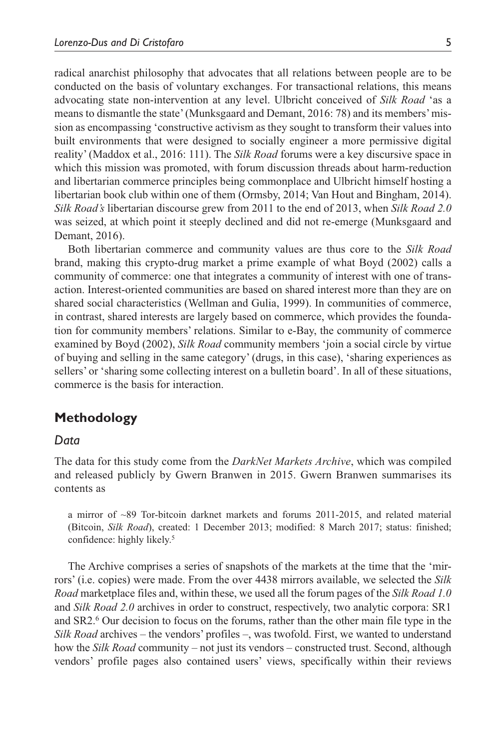radical anarchist philosophy that advocates that all relations between people are to be conducted on the basis of voluntary exchanges. For transactional relations, this means advocating state non-intervention at any level. Ulbricht conceived of *Silk Road* 'as a means to dismantle the state' (Munksgaard and Demant, 2016: 78) and its members' mission as encompassing 'constructive activism as they sought to transform their values into built environments that were designed to socially engineer a more permissive digital reality' (Maddox et al., 2016: 111). The *Silk Road* forums were a key discursive space in which this mission was promoted, with forum discussion threads about harm-reduction and libertarian commerce principles being commonplace and Ulbricht himself hosting a libertarian book club within one of them (Ormsby, 2014; Van Hout and Bingham, 2014). *Silk Road's* libertarian discourse grew from 2011 to the end of 2013, when *Silk Road 2.0* was seized, at which point it steeply declined and did not re-emerge (Munksgaard and Demant, 2016).

Both libertarian commerce and community values are thus core to the *Silk Road* brand, making this crypto-drug market a prime example of what Boyd (2002) calls a community of commerce: one that integrates a community of interest with one of transaction. Interest-oriented communities are based on shared interest more than they are on shared social characteristics (Wellman and Gulia, 1999). In communities of commerce, in contrast, shared interests are largely based on commerce, which provides the foundation for community members' relations. Similar to e-Bay, the community of commerce examined by Boyd (2002), *Silk Road* community members 'join a social circle by virtue of buying and selling in the same category' (drugs, in this case), 'sharing experiences as sellers' or 'sharing some collecting interest on a bulletin board'. In all of these situations, commerce is the basis for interaction.

# **Methodology**

#### *Data*

The data for this study come from the *DarkNet Markets Archive*, which was compiled and released publicly by Gwern Branwen in 2015. Gwern Branwen summarises its contents as

a mirror of ~89 Tor-bitcoin darknet markets and forums 2011-2015, and related material (Bitcoin, *Silk Road*), created: 1 December 2013; modified: 8 March 2017; status: finished; confidence: highly likely.5

The Archive comprises a series of snapshots of the markets at the time that the 'mirrors' (i.e. copies) were made. From the over 4438 mirrors available, we selected the *Silk Road* marketplace files and, within these, we used all the forum pages of the *Silk Road 1.0* and *Silk Road 2.0* archives in order to construct, respectively, two analytic corpora: SR1 and SR2.6 Our decision to focus on the forums, rather than the other main file type in the *Silk Road* archives – the vendors' profiles –, was twofold. First, we wanted to understand how the *Silk Road* community – not just its vendors – constructed trust. Second, although vendors' profile pages also contained users' views, specifically within their reviews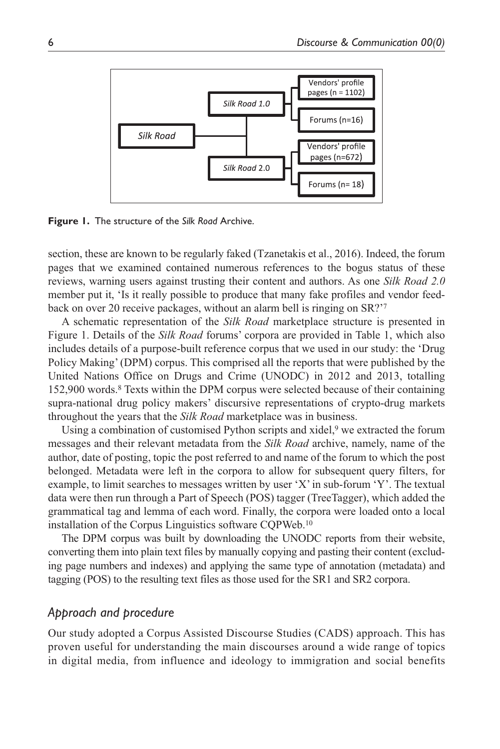

**Figure 1.** The structure of the *Silk Road* Archive.

section, these are known to be regularly faked (Tzanetakis et al., 2016). Indeed, the forum pages that we examined contained numerous references to the bogus status of these reviews, warning users against trusting their content and authors. As one *Silk Road 2.0* member put it, 'Is it really possible to produce that many fake profiles and vendor feedback on over 20 receive packages, without an alarm bell is ringing on SR?'7

A schematic representation of the *Silk Road* marketplace structure is presented in Figure 1. Details of the *Silk Road* forums' corpora are provided in Table 1, which also includes details of a purpose-built reference corpus that we used in our study: the 'Drug Policy Making' (DPM) corpus. This comprised all the reports that were published by the United Nations Office on Drugs and Crime (UNODC) in 2012 and 2013, totalling 152,900 words.8 Texts within the DPM corpus were selected because of their containing supra-national drug policy makers' discursive representations of crypto-drug markets throughout the years that the *Silk Road* marketplace was in business.

Using a combination of customised Python scripts and xidel, $9$  we extracted the forum messages and their relevant metadata from the *Silk Road* archive, namely, name of the author, date of posting, topic the post referred to and name of the forum to which the post belonged. Metadata were left in the corpora to allow for subsequent query filters, for example, to limit searches to messages written by user 'X' in sub-forum 'Y'. The textual data were then run through a Part of Speech (POS) tagger (TreeTagger), which added the grammatical tag and lemma of each word. Finally, the corpora were loaded onto a local installation of the Corpus Linguistics software CQPWeb.10

The DPM corpus was built by downloading the UNODC reports from their website, converting them into plain text files by manually copying and pasting their content (excluding page numbers and indexes) and applying the same type of annotation (metadata) and tagging (POS) to the resulting text files as those used for the SR1 and SR2 corpora.

## *Approach and procedure*

Our study adopted a Corpus Assisted Discourse Studies (CADS) approach. This has proven useful for understanding the main discourses around a wide range of topics in digital media, from influence and ideology to immigration and social benefits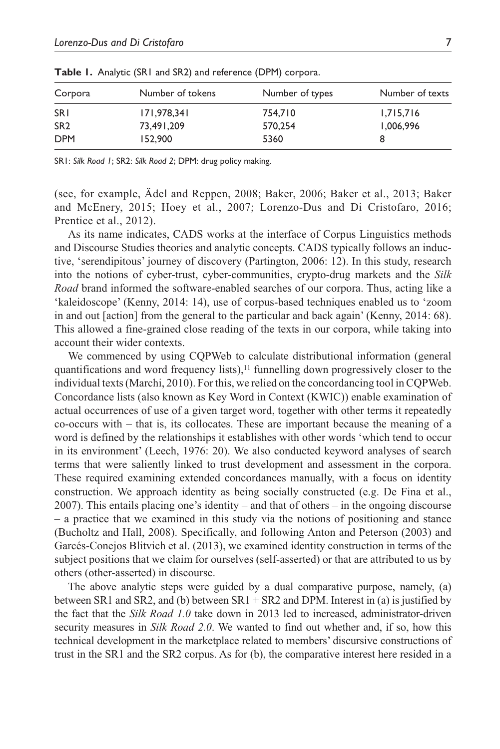| Corpora         | Number of tokens | Number of types | Number of texts |
|-----------------|------------------|-----------------|-----------------|
| <b>SRI</b>      | 171,978,341      | 754.710         | 1,715,716       |
| SR <sub>2</sub> | 73.491.209       | 570,254         | 1.006.996       |
| <b>DPM</b>      | 152,900          | 5360            |                 |

**Table 1.** Analytic (SR1 and SR2) and reference (DPM) corpora.

SR1: *Silk Road 1*; SR2: *Silk Road 2*; DPM: drug policy making.

(see, for example, Ädel and Reppen, 2008; Baker, 2006; Baker et al., 2013; Baker and McEnery, 2015; Hoey et al., 2007; Lorenzo-Dus and Di Cristofaro, 2016; Prentice et al., 2012).

As its name indicates, CADS works at the interface of Corpus Linguistics methods and Discourse Studies theories and analytic concepts. CADS typically follows an inductive, 'serendipitous' journey of discovery (Partington, 2006: 12). In this study, research into the notions of cyber-trust, cyber-communities, crypto-drug markets and the *Silk Road* brand informed the software-enabled searches of our corpora. Thus, acting like a 'kaleidoscope' (Kenny, 2014: 14), use of corpus-based techniques enabled us to 'zoom in and out [action] from the general to the particular and back again' (Kenny, 2014: 68). This allowed a fine-grained close reading of the texts in our corpora, while taking into account their wider contexts.

We commenced by using CQPWeb to calculate distributional information (general quantifications and word frequency lists), $<sup>11</sup>$  funnelling down progressively closer to the</sup> individual texts (Marchi, 2010). For this, we relied on the concordancing tool in CQPWeb. Concordance lists (also known as Key Word in Context (KWIC)) enable examination of actual occurrences of use of a given target word, together with other terms it repeatedly co-occurs with – that is, its collocates. These are important because the meaning of a word is defined by the relationships it establishes with other words 'which tend to occur in its environment' (Leech, 1976: 20). We also conducted keyword analyses of search terms that were saliently linked to trust development and assessment in the corpora. These required examining extended concordances manually, with a focus on identity construction. We approach identity as being socially constructed (e.g. De Fina et al., 2007). This entails placing one's identity – and that of others – in the ongoing discourse – a practice that we examined in this study via the notions of positioning and stance (Bucholtz and Hall, 2008). Specifically, and following Anton and Peterson (2003) and Garcés-Conejos Blitvich et al. (2013), we examined identity construction in terms of the subject positions that we claim for ourselves (self-asserted) or that are attributed to us by others (other-asserted) in discourse.

The above analytic steps were guided by a dual comparative purpose, namely, (a) between SR1 and SR2, and (b) between SR1 + SR2 and DPM. Interest in (a) is justified by the fact that the *Silk Road 1.0* take down in 2013 led to increased, administrator-driven security measures in *Silk Road 2.0*. We wanted to find out whether and, if so, how this technical development in the marketplace related to members' discursive constructions of trust in the SR1 and the SR2 corpus. As for (b), the comparative interest here resided in a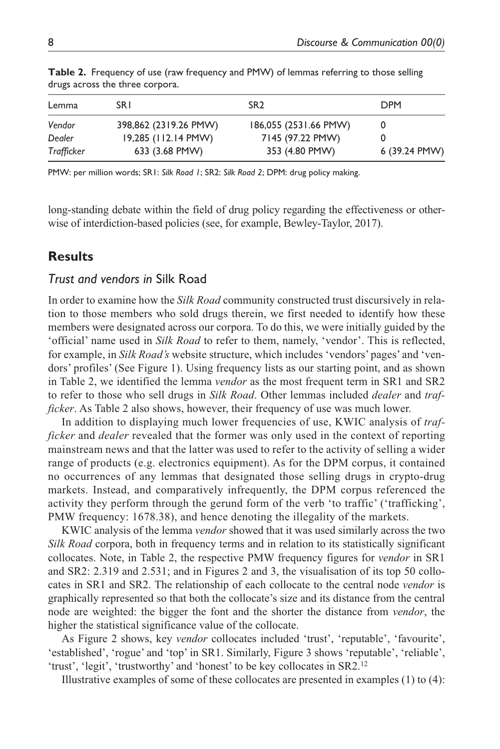| Lemma      | SR I                  | SR <sub>2</sub>       | <b>DPM</b>    |
|------------|-----------------------|-----------------------|---------------|
| Vendor     | 398,862 (2319.26 PMW) | 186,055 (2531.66 PMW) |               |
| Dealer     | 19,285 (112.14 PMW)   | 7145 (97.22 PMW)      |               |
| Trafficker | 633 (3.68 PMW)        | 353 (4.80 PMW)        | 6 (39.24 PMW) |

**Table 2.** Frequency of use (raw frequency and PMW) of lemmas referring to those selling drugs across the three corpora.

PMW: per million words; SR1: *Silk Road 1*; SR2: *Silk Road 2*; DPM: drug policy making.

long-standing debate within the field of drug policy regarding the effectiveness or otherwise of interdiction-based policies (see, for example, Bewley-Taylor, 2017).

# **Results**

### *Trust and vendors in* Silk Road

In order to examine how the *Silk Road* community constructed trust discursively in relation to those members who sold drugs therein, we first needed to identify how these members were designated across our corpora. To do this, we were initially guided by the 'official' name used in *Silk Road* to refer to them, namely, 'vendor'. This is reflected, for example, in *Silk Road's* website structure, which includes 'vendors' pages' and 'vendors' profiles' (See Figure 1). Using frequency lists as our starting point, and as shown in Table 2, we identified the lemma *vendor* as the most frequent term in SR1 and SR2 to refer to those who sell drugs in *Silk Road*. Other lemmas included *dealer* and *trafficker*. As Table 2 also shows, however, their frequency of use was much lower.

In addition to displaying much lower frequencies of use, KWIC analysis of *trafficker* and *dealer* revealed that the former was only used in the context of reporting mainstream news and that the latter was used to refer to the activity of selling a wider range of products (e.g. electronics equipment). As for the DPM corpus, it contained no occurrences of any lemmas that designated those selling drugs in crypto-drug markets. Instead, and comparatively infrequently, the DPM corpus referenced the activity they perform through the gerund form of the verb 'to traffic' ('trafficking', PMW frequency: 1678.38), and hence denoting the illegality of the markets.

KWIC analysis of the lemma *vendor* showed that it was used similarly across the two *Silk Road* corpora, both in frequency terms and in relation to its statistically significant collocates. Note, in Table 2, the respective PMW frequency figures for *vendor* in SR1 and SR2: 2.319 and 2.531; and in Figures 2 and 3, the visualisation of its top 50 collocates in SR1 and SR2. The relationship of each collocate to the central node *vendor* is graphically represented so that both the collocate's size and its distance from the central node are weighted: the bigger the font and the shorter the distance from *vendor*, the higher the statistical significance value of the collocate.

As Figure 2 shows, key *vendor* collocates included 'trust', 'reputable', 'favourite', 'established', 'rogue' and 'top' in SR1. Similarly, Figure 3 shows 'reputable', 'reliable', 'trust', 'legit', 'trustworthy' and 'honest' to be key collocates in SR2.12

Illustrative examples of some of these collocates are presented in examples (1) to (4):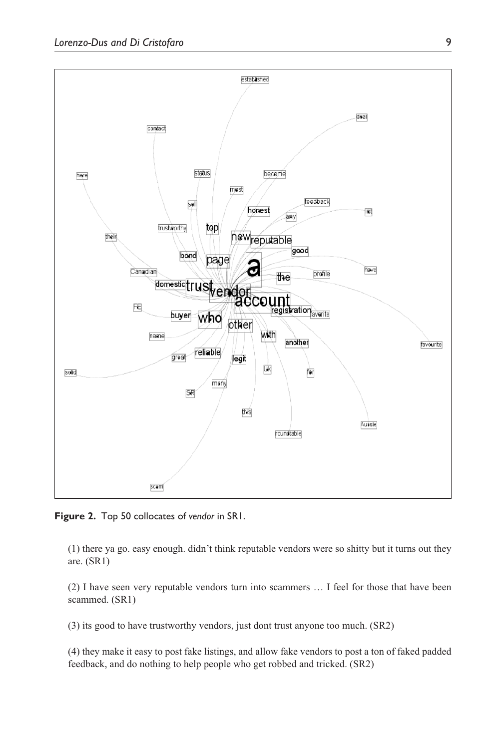

**Figure 2.** Top 50 collocates of *vendor* in SR1.

(1) there ya go. easy enough. didn't think reputable vendors were so shitty but it turns out they are. (SR1)

(2) I have seen very reputable vendors turn into scammers … I feel for those that have been scammed. (SR1)

(3) its good to have trustworthy vendors, just dont trust anyone too much. (SR2)

(4) they make it easy to post fake listings, and allow fake vendors to post a ton of faked padded feedback, and do nothing to help people who get robbed and tricked. (SR2)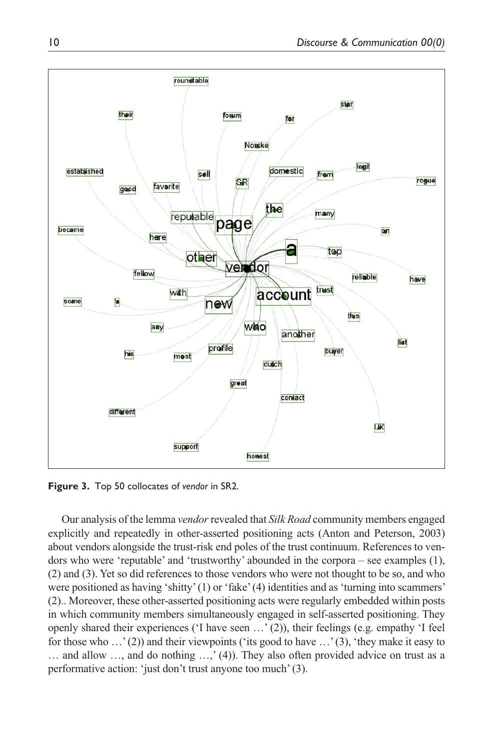

**Figure 3.** Top 50 collocates of *vendor* in SR2.

Our analysis of the lemma *vendor* revealed that *Silk Road* community members engaged explicitly and repeatedly in other-asserted positioning acts (Anton and Peterson, 2003) about vendors alongside the trust-risk end poles of the trust continuum. References to vendors who were 'reputable' and 'trustworthy' abounded in the corpora – see examples (1), (2) and (3). Yet so did references to those vendors who were not thought to be so, and who were positioned as having 'shitty' (1) or 'fake' (4) identities and as 'turning into scammers' (2).. Moreover, these other-asserted positioning acts were regularly embedded within posts in which community members simultaneously engaged in self-asserted positioning. They openly shared their experiences ('I have seen …' (2)), their feelings (e.g. empathy 'I feel for those who  $\ldots$  (2)) and their viewpoints ('its good to have  $\ldots$  (3), 'they make it easy to … and allow …, and do nothing …,' (4)). They also often provided advice on trust as a performative action: 'just don't trust anyone too much' (3).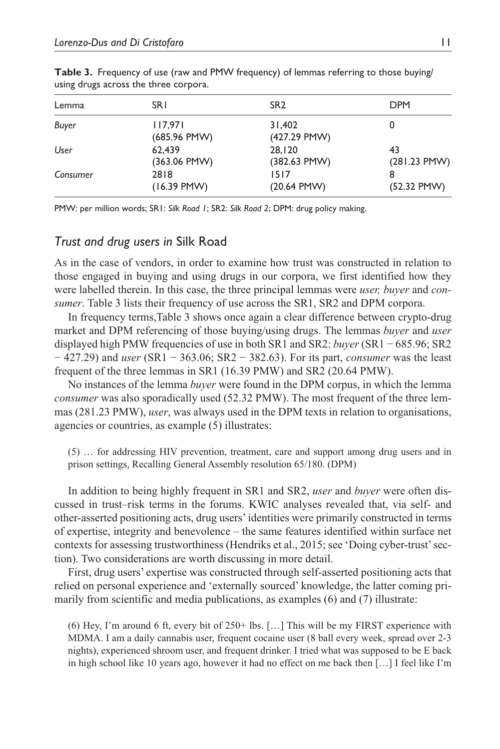| Lemma        | SR I                    | SR <sub>2</sub>          | <b>DPM</b>           |
|--------------|-------------------------|--------------------------|----------------------|
| <b>Buyer</b> | 117,971<br>(685.96 PMW) | 31,402<br>(427.29 PMW)   |                      |
| User         | 62.439<br>(363.06 PMW)  | 28.120<br>$(382.63$ PMW) | 43<br>$(281.23$ PMW) |
| Consumer     | 2818<br>$(16.39$ PMW)   | 1517<br>$(20.64$ PMW)    | (52.32 PMW)          |

**Table 3.** Frequency of use (raw and PMW frequency) of lemmas referring to those buying/ using drugs across the three corpora.

PMW: per million words; SR1: *Silk Road 1*; SR2: *Silk Road 2*; DPM: drug policy making.

### *Trust and drug users in* Silk Road

As in the case of vendors, in order to examine how trust was constructed in relation to those engaged in buying and using drugs in our corpora, we first identified how they were labelled therein. In this case, the three principal lemmas were *user, buyer* and *consumer*. Table 3 lists their frequency of use across the SR1, SR2 and DPM corpora.

In frequency terms,Table 3 shows once again a clear difference between crypto-drug market and DPM referencing of those buying/using drugs. The lemmas *buyer* and *user* displayed high PMW frequencies of use in both SR1 and SR2: *buyer* (SR1 − 685.96; SR2 − 427.29) and *user* (SR1 − 363.06; SR2 − 382.63). For its part, *consumer* was the least frequent of the three lemmas in SR1 (16.39 PMW) and SR2 (20.64 PMW).

No instances of the lemma *buyer* were found in the DPM corpus, in which the lemma *consumer* was also sporadically used (52.32 PMW). The most frequent of the three lemmas (281.23 PMW), *user*, was always used in the DPM texts in relation to organisations, agencies or countries, as example (5) illustrates:

(5) … for addressing HIV prevention, treatment, care and support among drug users and in prison settings, Recalling General Assembly resolution 65/180. (DPM)

In addition to being highly frequent in SR1 and SR2, *user* and *buyer* were often discussed in trust–risk terms in the forums. KWIC analyses revealed that, via self- and other-asserted positioning acts, drug users' identities were primarily constructed in terms of expertise, integrity and benevolence – the same features identified within surface net contexts for assessing trustworthiness (Hendriks et al., 2015; see 'Doing cyber-trust' section). Two considerations are worth discussing in more detail.

First, drug users' expertise was constructed through self-asserted positioning acts that relied on personal experience and 'externally sourced' knowledge, the latter coming primarily from scientific and media publications, as examples (6) and (7) illustrate:

(6) Hey, I'm around 6 ft, every bit of 250+ lbs. […] This will be my FIRST experience with MDMA. I am a daily cannabis user, frequent cocaine user (8 ball every week, spread over 2-3 nights), experienced shroom user, and frequent drinker. I tried what was supposed to be E back in high school like 10 years ago, however it had no effect on me back then […] I feel like I'm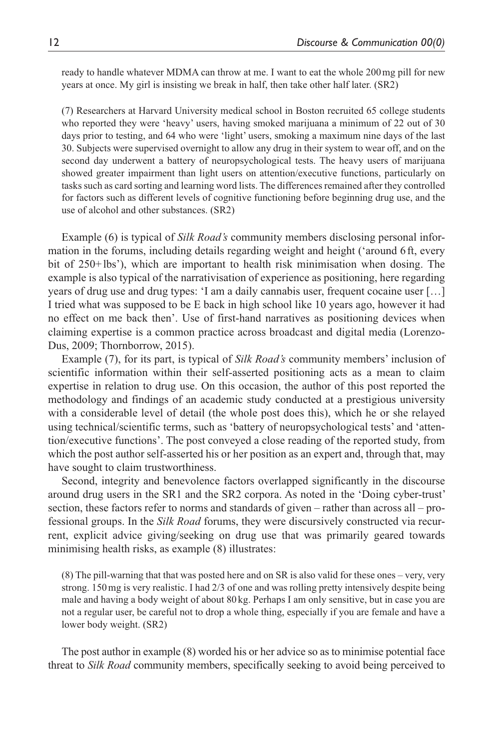ready to handle whatever MDMA can throw at me. I want to eat the whole 200mg pill for new years at once. My girl is insisting we break in half, then take other half later. (SR2)

(7) Researchers at Harvard University medical school in Boston recruited 65 college students who reported they were 'heavy' users, having smoked marijuana a minimum of 22 out of 30 days prior to testing, and 64 who were 'light' users, smoking a maximum nine days of the last 30. Subjects were supervised overnight to allow any drug in their system to wear off, and on the second day underwent a battery of neuropsychological tests. The heavy users of marijuana showed greater impairment than light users on attention/executive functions, particularly on tasks such as card sorting and learning word lists. The differences remained after they controlled for factors such as different levels of cognitive functioning before beginning drug use, and the use of alcohol and other substances. (SR2)

Example (6) is typical of *Silk Road's* community members disclosing personal information in the forums, including details regarding weight and height ('around 6ft, every bit of 250+lbs'), which are important to health risk minimisation when dosing. The example is also typical of the narrativisation of experience as positioning, here regarding years of drug use and drug types: 'I am a daily cannabis user, frequent cocaine user […] I tried what was supposed to be E back in high school like 10 years ago, however it had no effect on me back then'. Use of first-hand narratives as positioning devices when claiming expertise is a common practice across broadcast and digital media (Lorenzo-Dus, 2009; Thornborrow, 2015).

Example (7), for its part, is typical of *Silk Road's* community members' inclusion of scientific information within their self-asserted positioning acts as a mean to claim expertise in relation to drug use. On this occasion, the author of this post reported the methodology and findings of an academic study conducted at a prestigious university with a considerable level of detail (the whole post does this), which he or she relayed using technical/scientific terms, such as 'battery of neuropsychological tests' and 'attention/executive functions'. The post conveyed a close reading of the reported study, from which the post author self-asserted his or her position as an expert and, through that, may have sought to claim trustworthiness.

Second, integrity and benevolence factors overlapped significantly in the discourse around drug users in the SR1 and the SR2 corpora. As noted in the 'Doing cyber-trust' section, these factors refer to norms and standards of given – rather than across all – professional groups. In the *Silk Road* forums, they were discursively constructed via recurrent, explicit advice giving/seeking on drug use that was primarily geared towards minimising health risks, as example (8) illustrates:

(8) The pill-warning that that was posted here and on SR is also valid for these ones – very, very strong. 150mg is very realistic. I had 2/3 of one and was rolling pretty intensively despite being male and having a body weight of about 80 kg. Perhaps I am only sensitive, but in case you are not a regular user, be careful not to drop a whole thing, especially if you are female and have a lower body weight. (SR2)

The post author in example (8) worded his or her advice so as to minimise potential face threat to *Silk Road* community members, specifically seeking to avoid being perceived to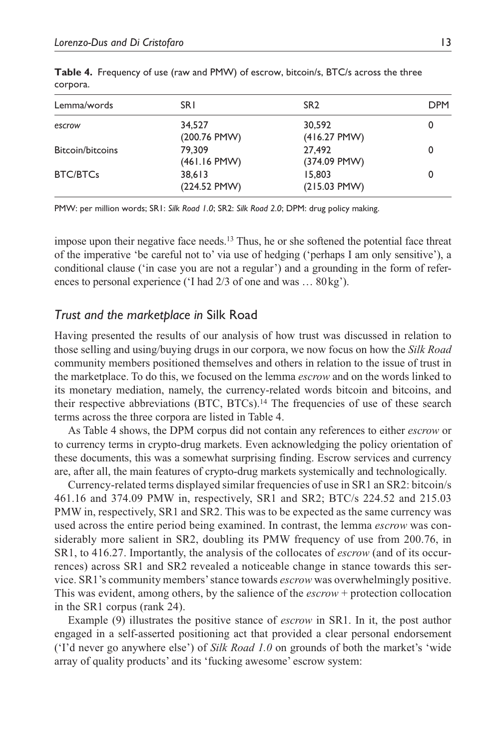| SR I                        | SR <sub>2</sub>          | <b>DPM</b> |
|-----------------------------|--------------------------|------------|
| 34.527<br>(200.76 PMW)      | 30.592<br>(416.27 PMW)   |            |
| 79,309<br>$(461.16$ PMW $)$ | 27.492<br>(374.09 PMW)   |            |
| 38.613<br>(224.52 PMW)      | 15,803<br>$(215.03$ PMW) |            |
|                             |                          |            |

**Table 4.** Frequency of use (raw and PMW) of escrow, bitcoin/s, BTC/s across the three corpora.

PMW: per million words; SR1: *Silk Road 1.0*; SR2: *Silk Road 2.0*; DPM: drug policy making.

impose upon their negative face needs.13 Thus, he or she softened the potential face threat of the imperative 'be careful not to' via use of hedging ('perhaps I am only sensitive'), a conditional clause ('in case you are not a regular') and a grounding in the form of references to personal experience ('I had 2/3 of one and was … 80kg').

#### *Trust and the marketplace in* Silk Road

Having presented the results of our analysis of how trust was discussed in relation to those selling and using/buying drugs in our corpora, we now focus on how the *Silk Road* community members positioned themselves and others in relation to the issue of trust in the marketplace. To do this, we focused on the lemma *escrow* and on the words linked to its monetary mediation, namely, the currency-related words bitcoin and bitcoins, and their respective abbreviations (BTC, BTCs).14 The frequencies of use of these search terms across the three corpora are listed in Table 4.

As Table 4 shows, the DPM corpus did not contain any references to either *escrow* or to currency terms in crypto-drug markets. Even acknowledging the policy orientation of these documents, this was a somewhat surprising finding. Escrow services and currency are, after all, the main features of crypto-drug markets systemically and technologically.

Currency-related terms displayed similar frequencies of use in SR1 an SR2: bitcoin/s 461.16 and 374.09 PMW in, respectively, SR1 and SR2; BTC/s 224.52 and 215.03 PMW in, respectively, SR1 and SR2. This was to be expected as the same currency was used across the entire period being examined. In contrast, the lemma *escrow* was considerably more salient in SR2, doubling its PMW frequency of use from 200.76, in SR1, to 416.27. Importantly, the analysis of the collocates of *escrow* (and of its occurrences) across SR1 and SR2 revealed a noticeable change in stance towards this service. SR1's community members' stance towards *escrow* was overwhelmingly positive. This was evident, among others, by the salience of the *escrow* + protection collocation in the SR1 corpus (rank 24).

Example (9) illustrates the positive stance of *escrow* in SR1. In it, the post author engaged in a self-asserted positioning act that provided a clear personal endorsement ('I'd never go anywhere else') of *Silk Road 1.0* on grounds of both the market's 'wide array of quality products' and its 'fucking awesome' escrow system: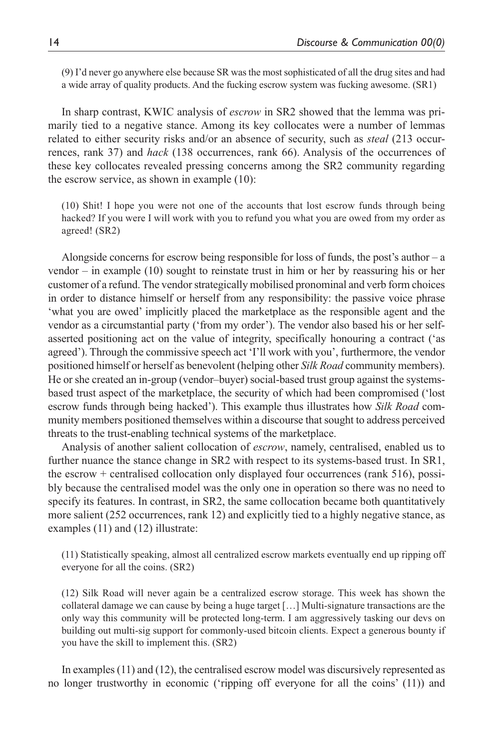(9) I'd never go anywhere else because SR was the most sophisticated of all the drug sites and had a wide array of quality products. And the fucking escrow system was fucking awesome. (SR1)

In sharp contrast, KWIC analysis of *escrow* in SR2 showed that the lemma was primarily tied to a negative stance. Among its key collocates were a number of lemmas related to either security risks and/or an absence of security, such as *steal* (213 occurrences, rank 37) and *hack* (138 occurrences, rank 66). Analysis of the occurrences of these key collocates revealed pressing concerns among the SR2 community regarding the escrow service, as shown in example (10):

(10) Shit! I hope you were not one of the accounts that lost escrow funds through being hacked? If you were I will work with you to refund you what you are owed from my order as agreed! (SR2)

Alongside concerns for escrow being responsible for loss of funds, the post's author – a vendor – in example (10) sought to reinstate trust in him or her by reassuring his or her customer of a refund. The vendor strategically mobilised pronominal and verb form choices in order to distance himself or herself from any responsibility: the passive voice phrase 'what you are owed' implicitly placed the marketplace as the responsible agent and the vendor as a circumstantial party ('from my order'). The vendor also based his or her selfasserted positioning act on the value of integrity, specifically honouring a contract ('as agreed'). Through the commissive speech act 'I'll work with you', furthermore, the vendor positioned himself or herself as benevolent (helping other *Silk Road* community members). He or she created an in-group (vendor–buyer) social-based trust group against the systemsbased trust aspect of the marketplace, the security of which had been compromised ('lost escrow funds through being hacked'). This example thus illustrates how *Silk Road* community members positioned themselves within a discourse that sought to address perceived threats to the trust-enabling technical systems of the marketplace.

Analysis of another salient collocation of *escrow*, namely, centralised, enabled us to further nuance the stance change in SR2 with respect to its systems-based trust. In SR1, the escrow + centralised collocation only displayed four occurrences (rank 516), possibly because the centralised model was the only one in operation so there was no need to specify its features. In contrast, in SR2, the same collocation became both quantitatively more salient (252 occurrences, rank 12) and explicitly tied to a highly negative stance, as examples (11) and (12) illustrate:

(11) Statistically speaking, almost all centralized escrow markets eventually end up ripping off everyone for all the coins. (SR2)

(12) Silk Road will never again be a centralized escrow storage. This week has shown the collateral damage we can cause by being a huge target […] Multi-signature transactions are the only way this community will be protected long-term. I am aggressively tasking our devs on building out multi-sig support for commonly-used bitcoin clients. Expect a generous bounty if you have the skill to implement this. (SR2)

In examples (11) and (12), the centralised escrow model was discursively represented as no longer trustworthy in economic ('ripping off everyone for all the coins' (11)) and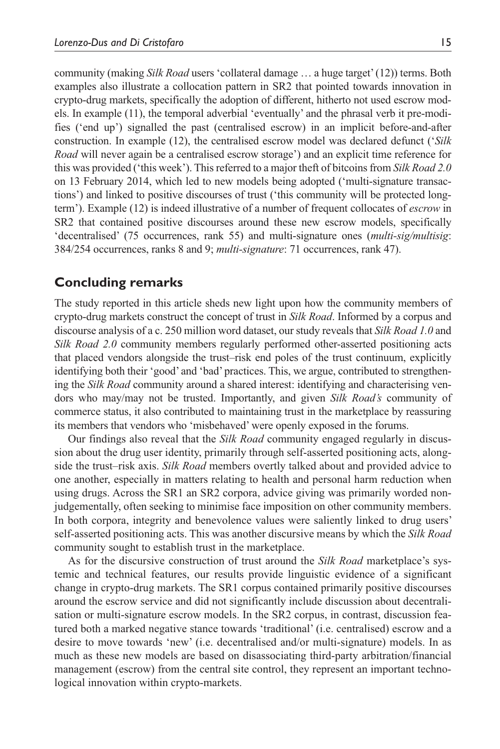community (making *Silk Road* users 'collateral damage … a huge target' (12)) terms. Both examples also illustrate a collocation pattern in SR2 that pointed towards innovation in crypto-drug markets, specifically the adoption of different, hitherto not used escrow models. In example (11), the temporal adverbial 'eventually' and the phrasal verb it pre-modifies ('end up') signalled the past (centralised escrow) in an implicit before-and-after construction. In example (12), the centralised escrow model was declared defunct ('*Silk Road* will never again be a centralised escrow storage') and an explicit time reference for this was provided ('this week'). This referred to a major theft of bitcoins from *Silk Road 2.0* on 13 February 2014, which led to new models being adopted ('multi-signature transactions') and linked to positive discourses of trust ('this community will be protected longterm'). Example (12) is indeed illustrative of a number of frequent collocates of *escrow* in SR2 that contained positive discourses around these new escrow models, specifically 'decentralised' (75 occurrences, rank 55) and multi-signature ones (*multi-sig/multisig*: 384/254 occurrences, ranks 8 and 9; *multi-signature*: 71 occurrences, rank 47).

## **Concluding remarks**

The study reported in this article sheds new light upon how the community members of crypto-drug markets construct the concept of trust in *Silk Road*. Informed by a corpus and discourse analysis of a c. 250 million word dataset, our study reveals that *Silk Road 1.0* and *Silk Road 2.0* community members regularly performed other-asserted positioning acts that placed vendors alongside the trust–risk end poles of the trust continuum, explicitly identifying both their 'good' and 'bad' practices. This, we argue, contributed to strengthening the *Silk Road* community around a shared interest: identifying and characterising vendors who may/may not be trusted. Importantly, and given *Silk Road's* community of commerce status, it also contributed to maintaining trust in the marketplace by reassuring its members that vendors who 'misbehaved' were openly exposed in the forums.

Our findings also reveal that the *Silk Road* community engaged regularly in discussion about the drug user identity, primarily through self-asserted positioning acts, alongside the trust–risk axis. *Silk Road* members overtly talked about and provided advice to one another, especially in matters relating to health and personal harm reduction when using drugs. Across the SR1 an SR2 corpora, advice giving was primarily worded nonjudgementally, often seeking to minimise face imposition on other community members. In both corpora, integrity and benevolence values were saliently linked to drug users' self-asserted positioning acts. This was another discursive means by which the *Silk Road* community sought to establish trust in the marketplace.

As for the discursive construction of trust around the *Silk Road* marketplace's systemic and technical features, our results provide linguistic evidence of a significant change in crypto-drug markets. The SR1 corpus contained primarily positive discourses around the escrow service and did not significantly include discussion about decentralisation or multi-signature escrow models. In the SR2 corpus, in contrast, discussion featured both a marked negative stance towards 'traditional' (i.e. centralised) escrow and a desire to move towards 'new' (i.e. decentralised and/or multi-signature) models. In as much as these new models are based on disassociating third-party arbitration/financial management (escrow) from the central site control, they represent an important technological innovation within crypto-markets.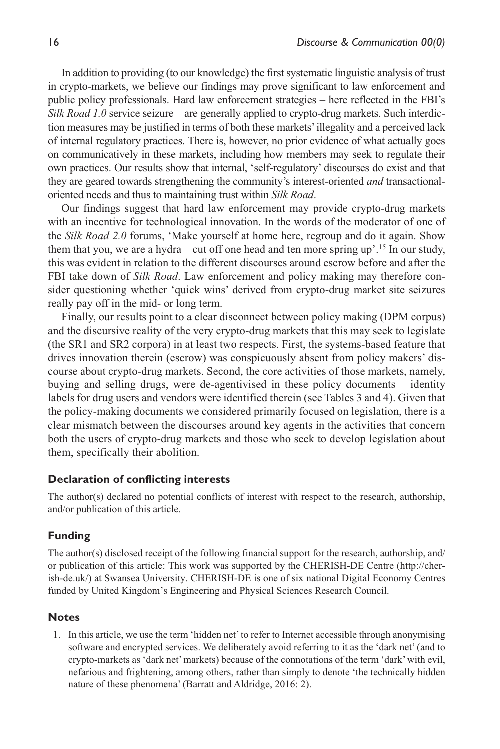In addition to providing (to our knowledge) the first systematic linguistic analysis of trust in crypto-markets, we believe our findings may prove significant to law enforcement and public policy professionals. Hard law enforcement strategies – here reflected in the FBI's *Silk Road 1.0* service seizure – are generally applied to crypto-drug markets. Such interdiction measures may be justified in terms of both these markets' illegality and a perceived lack of internal regulatory practices. There is, however, no prior evidence of what actually goes on communicatively in these markets, including how members may seek to regulate their own practices. Our results show that internal, 'self-regulatory' discourses do exist and that they are geared towards strengthening the community's interest-oriented *and* transactionaloriented needs and thus to maintaining trust within *Silk Road*.

Our findings suggest that hard law enforcement may provide crypto-drug markets with an incentive for technological innovation. In the words of the moderator of one of the *Silk Road 2.0* forums, 'Make yourself at home here, regroup and do it again. Show them that you, we are a hydra – cut off one head and ten more spring up'.<sup>15</sup> In our study, this was evident in relation to the different discourses around escrow before and after the FBI take down of *Silk Road*. Law enforcement and policy making may therefore consider questioning whether 'quick wins' derived from crypto-drug market site seizures really pay off in the mid- or long term.

Finally, our results point to a clear disconnect between policy making (DPM corpus) and the discursive reality of the very crypto-drug markets that this may seek to legislate (the SR1 and SR2 corpora) in at least two respects. First, the systems-based feature that drives innovation therein (escrow) was conspicuously absent from policy makers' discourse about crypto-drug markets. Second, the core activities of those markets, namely, buying and selling drugs, were de-agentivised in these policy documents – identity labels for drug users and vendors were identified therein (see Tables 3 and 4). Given that the policy-making documents we considered primarily focused on legislation, there is a clear mismatch between the discourses around key agents in the activities that concern both the users of crypto-drug markets and those who seek to develop legislation about them, specifically their abolition.

### **Declaration of conflicting interests**

The author(s) declared no potential conflicts of interest with respect to the research, authorship, and/or publication of this article.

### **Funding**

The author(s) disclosed receipt of the following financial support for the research, authorship, and/ or publication of this article: This work was supported by the CHERISH-DE Centre [\(http://cher](http://cherish-de.uk/)[ish-de.uk/](http://cherish-de.uk/)) at Swansea University. CHERISH-DE is one of six national Digital Economy Centres funded by United Kingdom's Engineering and Physical Sciences Research Council.

### **Notes**

1. In this article, we use the term 'hidden net' to refer to Internet accessible through anonymising software and encrypted services. We deliberately avoid referring to it as the 'dark net' (and to crypto-markets as 'dark net' markets) because of the connotations of the term 'dark' with evil, nefarious and frightening, among others, rather than simply to denote 'the technically hidden nature of these phenomena' (Barratt and Aldridge, 2016: 2).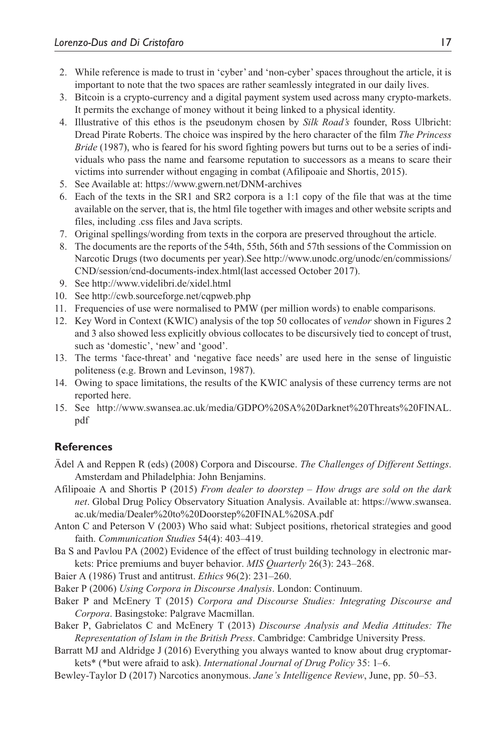- 2. While reference is made to trust in 'cyber' and 'non-cyber' spaces throughout the article, it is important to note that the two spaces are rather seamlessly integrated in our daily lives.
- 3. Bitcoin is a crypto-currency and a digital payment system used across many crypto-markets. It permits the exchange of money without it being linked to a physical identity.
- 4. Illustrative of this ethos is the pseudonym chosen by *Silk Road's* founder, Ross Ulbricht: Dread Pirate Roberts. The choice was inspired by the hero character of the film *The Princess Bride* (1987), who is feared for his sword fighting powers but turns out to be a series of individuals who pass the name and fearsome reputation to successors as a means to scare their victims into surrender without engaging in combat (Afilipoaie and Shortis, 2015).
- 5. See Available at: <https://www.gwern.net/DNM-archives>
- 6. Each of the texts in the SR1 and SR2 corpora is a 1:1 copy of the file that was at the time available on the server, that is, the html file together with images and other website scripts and files, including .css files and Java scripts.
- 7. Original spellings/wording from texts in the corpora are preserved throughout the article.
- 8. The documents are the reports of the 54th, 55th, 56th and 57th sessions of the Commission on Narcotic Drugs (two documents per year).See [http://www.unodc.org/unodc/en/commissions/](http://www.unodc.org/unodc/en/commissions/CND/session/cnd-documents-index.html) [CND/session/cnd-documents-index.html\(](http://www.unodc.org/unodc/en/commissions/CND/session/cnd-documents-index.html)last accessed October 2017).
- 9. See<http://www.videlibri.de/xidel.html>
- 10. See<http://cwb.sourceforge.net/cqpweb.php>
- 11. Frequencies of use were normalised to PMW (per million words) to enable comparisons.
- 12. Key Word in Context (KWIC) analysis of the top 50 collocates of *vendor* shown in Figures 2 and 3 also showed less explicitly obvious collocates to be discursively tied to concept of trust, such as 'domestic', 'new' and 'good'.
- 13. The terms 'face-threat' and 'negative face needs' are used here in the sense of linguistic politeness (e.g. Brown and Levinson, 1987).
- 14. Owing to space limitations, the results of the KWIC analysis of these currency terms are not reported here.
- 15. See [http://www.swansea.ac.uk/media/GDPO%20SA%20Darknet%20Threats%20FINAL.](http://www.swansea.ac.uk/media/GDPO%20SA%20Darknet%20Threats%20FINAL.pdf) [pdf](http://www.swansea.ac.uk/media/GDPO%20SA%20Darknet%20Threats%20FINAL.pdf)

### **References**

- Ädel A and Reppen R (eds) (2008) Corpora and Discourse. *The Challenges of Different Settings*. Amsterdam and Philadelphia: John Benjamins.
- Afilipoaie A and Shortis P (2015) *From dealer to doorstep How drugs are sold on the dark net*. Global Drug Policy Observatory Situation Analysis. Available at: [https://www.swansea.](https://www.swansea.ac.uk/media/Dealer%20to%20Doorstep%20FINAL%20SA.pdf) [ac.uk/media/Dealer%20to%20Doorstep%20FINAL%20SA.pdf](https://www.swansea.ac.uk/media/Dealer%20to%20Doorstep%20FINAL%20SA.pdf)
- Anton C and Peterson V (2003) Who said what: Subject positions, rhetorical strategies and good faith. *Communication Studies* 54(4): 403–419.
- Ba S and Pavlou PA (2002) Evidence of the effect of trust building technology in electronic markets: Price premiums and buyer behavior. *MIS Quarterly* 26(3): 243–268.
- Baier A (1986) Trust and antitrust. *Ethics* 96(2): 231–260.
- Baker P (2006) *Using Corpora in Discourse Analysis*. London: Continuum.
- Baker P and McEnery T (2015) *Corpora and Discourse Studies: Integrating Discourse and Corpora*. Basingstoke: Palgrave Macmillan.
- Baker P, Gabrielatos C and McEnery T (2013) *Discourse Analysis and Media Attitudes: The Representation of Islam in the British Press*. Cambridge: Cambridge University Press.
- Barratt MJ and Aldridge J (2016) Everything you always wanted to know about drug cryptomarkets\* (\*but were afraid to ask). *International Journal of Drug Policy* 35: 1–6.
- Bewley-Taylor D (2017) Narcotics anonymous. *Jane's Intelligence Review*, June, pp. 50–53.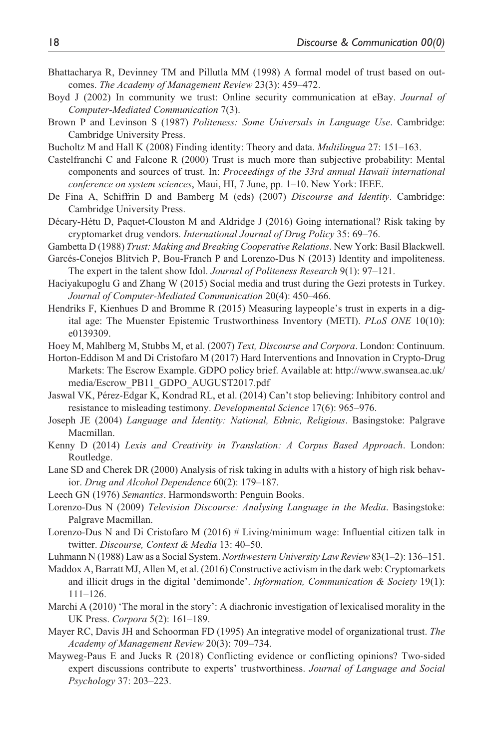- Bhattacharya R, Devinney TM and Pillutla MM (1998) A formal model of trust based on outcomes. *The Academy of Management Review* 23(3): 459–472.
- Boyd J (2002) In community we trust: Online security communication at eBay. *Journal of Computer-Mediated Communication* 7(3).
- Brown P and Levinson S (1987) *Politeness: Some Universals in Language Use*. Cambridge: Cambridge University Press.
- Bucholtz M and Hall K (2008) Finding identity: Theory and data. *Multilingua* 27: 151–163.
- Castelfranchi C and Falcone R (2000) Trust is much more than subjective probability: Mental components and sources of trust. In: *Proceedings of the 33rd annual Hawaii international conference on system sciences*, Maui, HI, 7 June, pp. 1–10. New York: IEEE.
- De Fina A, Schiffrin D and Bamberg M (eds) (2007) *Discourse and Identity*. Cambridge: Cambridge University Press.
- Décary-Hétu D, Paquet-Clouston M and Aldridge J (2016) Going international? Risk taking by cryptomarket drug vendors. *International Journal of Drug Policy* 35: 69–76.
- Gambetta D (1988) *Trust: Making and Breaking Cooperative Relations*. New York: Basil Blackwell.
- Garcés-Conejos Blitvich P, Bou-Franch P and Lorenzo-Dus N (2013) Identity and impoliteness. The expert in the talent show Idol. *Journal of Politeness Research* 9(1): 97–121.
- Haciyakupoglu G and Zhang W (2015) Social media and trust during the Gezi protests in Turkey. *Journal of Computer-Mediated Communication* 20(4): 450–466.
- Hendriks F, Kienhues D and Bromme R (2015) Measuring laypeople's trust in experts in a digital age: The Muenster Epistemic Trustworthiness Inventory (METI). *PLoS ONE* 10(10): e0139309.
- Hoey M, Mahlberg M, Stubbs M, et al. (2007) *Text, Discourse and Corpora*. London: Continuum.
- Horton-Eddison M and Di Cristofaro M (2017) Hard Interventions and Innovation in Crypto-Drug Markets: The Escrow Example. GDPO policy brief. Available at: [http://www.swansea.ac.uk/](http://www.swansea.ac.uk/media/Escrow_PB11_GDPO_AUGUST2017.pdf) [media/Escrow\\_PB11\\_GDPO\\_AUGUST2017.pdf](http://www.swansea.ac.uk/media/Escrow_PB11_GDPO_AUGUST2017.pdf)
- Jaswal VK, Pérez-Edgar K, Kondrad RL, et al. (2014) Can't stop believing: Inhibitory control and resistance to misleading testimony. *Developmental Science* 17(6): 965–976.
- Joseph JE (2004) *Language and Identity: National, Ethnic, Religious*. Basingstoke: Palgrave Macmillan.
- Kenny D (2014) *Lexis and Creativity in Translation: A Corpus Based Approach*. London: Routledge.
- Lane SD and Cherek DR (2000) Analysis of risk taking in adults with a history of high risk behavior. *Drug and Alcohol Dependence* 60(2): 179–187.
- Leech GN (1976) *Semantics*. Harmondsworth: Penguin Books.
- Lorenzo-Dus N (2009) *Television Discourse: Analysing Language in the Media*. Basingstoke: Palgrave Macmillan.
- Lorenzo-Dus N and Di Cristofaro M (2016) # Living/minimum wage: Influential citizen talk in twitter. *Discourse, Context & Media* 13: 40–50.
- Luhmann N (1988) Law as a Social System. *Northwestern University Law Review* 83(1–2): 136–151.
- Maddox A, Barratt MJ, Allen M, et al. (2016) Constructive activism in the dark web: Cryptomarkets and illicit drugs in the digital 'demimonde'. *Information, Communication & Society* 19(1): 111–126.
- Marchi A (2010) 'The moral in the story': A diachronic investigation of lexicalised morality in the UK Press. *Corpora* 5(2): 161–189.
- Mayer RC, Davis JH and Schoorman FD (1995) An integrative model of organizational trust. *The Academy of Management Review* 20(3): 709–734.
- Mayweg-Paus E and Jucks R (2018) Conflicting evidence or conflicting opinions? Two-sided expert discussions contribute to experts' trustworthiness. *Journal of Language and Social Psychology* 37: 203–223.